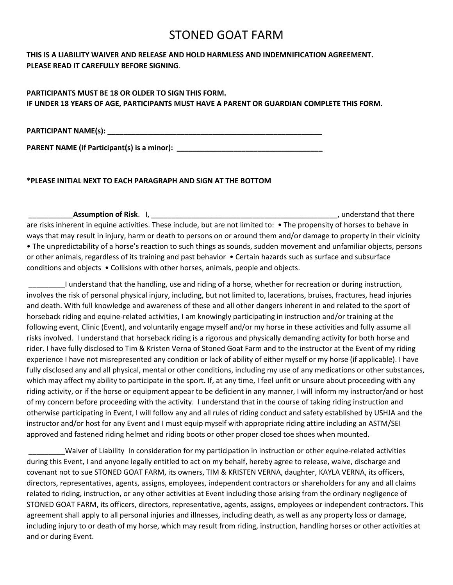# STONED GOAT FARM

## **THIS IS A LIABILITY WAIVER AND RELEASE AND HOLD HARMLESS AND INDEMNIFICATION AGREEMENT. PLEASE READ IT CAREFULLY BEFORE SIGNING**.

## **PARTICIPANTS MUST BE 18 OR OLDER TO SIGN THIS FORM. IF UNDER 18 YEARS OF AGE, PARTICIPANTS MUST HAVE A PARENT OR GUARDIAN COMPLETE THIS FORM.**

**PARTICIPANT NAME(s): \_\_\_\_\_\_\_\_\_\_\_\_\_\_\_\_\_\_\_\_\_\_\_\_\_\_\_\_\_\_\_\_\_\_\_\_\_\_\_\_\_\_\_\_\_\_\_\_\_\_\_\_\_**

**PARENT NAME (if Participant(s) is a minor): \_\_\_\_\_\_\_\_\_\_\_\_\_\_\_\_\_\_\_\_\_\_\_\_\_\_\_\_\_\_\_\_\_\_\_\_**

### **\*PLEASE INITIAL NEXT TO EACH PARAGRAPH AND SIGN AT THE BOTTOM**

\_\_\_\_\_\_\_\_\_\_\_**Assumption of Risk**. I, \_\_\_\_\_\_\_\_\_\_\_\_\_\_\_\_\_\_\_\_\_\_\_\_\_\_\_\_\_\_\_\_\_\_\_\_\_\_\_\_\_\_\_\_\_\_, understand that there are risks inherent in equine activities. These include, but are not limited to: • The propensity of horses to behave in ways that may result in injury, harm or death to persons on or around them and/or damage to property in their vicinity • The unpredictability of a horse's reaction to such things as sounds, sudden movement and unfamiliar objects, persons or other animals, regardless of its training and past behavior • Certain hazards such as surface and subsurface conditions and objects • Collisions with other horses, animals, people and objects.

\_\_\_\_\_\_\_\_\_I understand that the handling, use and riding of a horse, whether for recreation or during instruction, involves the risk of personal physical injury, including, but not limited to, lacerations, bruises, fractures, head injuries and death. With full knowledge and awareness of these and all other dangers inherent in and related to the sport of horseback riding and equine-related activities, I am knowingly participating in instruction and/or training at the following event, Clinic (Event), and voluntarily engage myself and/or my horse in these activities and fully assume all risks involved. I understand that horseback riding is a rigorous and physically demanding activity for both horse and rider. I have fully disclosed to Tim & Kristen Verna of Stoned Goat Farm and to the instructor at the Event of my riding experience I have not misrepresented any condition or lack of ability of either myself or my horse (if applicable). I have fully disclosed any and all physical, mental or other conditions, including my use of any medications or other substances, which may affect my ability to participate in the sport. If, at any time, I feel unfit or unsure about proceeding with any riding activity, or if the horse or equipment appear to be deficient in any manner, I will inform my instructor/and or host of my concern before proceeding with the activity. I understand that in the course of taking riding instruction and otherwise participating in Event, I will follow any and all rules of riding conduct and safety established by USHJA and the instructor and/or host for any Event and I must equip myself with appropriate riding attire including an ASTM/SEI approved and fastened riding helmet and riding boots or other proper closed toe shoes when mounted.

\_\_\_\_\_\_\_\_\_Waiver of Liability In consideration for my participation in instruction or other equine-related activities during this Event, I and anyone legally entitled to act on my behalf, hereby agree to release, waive, discharge and covenant not to sue STONED GOAT FARM, its owners, TIM & KRISTEN VERNA, daughter, KAYLA VERNA, its officers, directors, representatives, agents, assigns, employees, independent contractors or shareholders for any and all claims related to riding, instruction, or any other activities at Event including those arising from the ordinary negligence of STONED GOAT FARM, its officers, directors, representative, agents, assigns, employees or independent contractors. This agreement shall apply to all personal injuries and illnesses, including death, as well as any property loss or damage, including injury to or death of my horse, which may result from riding, instruction, handling horses or other activities at and or during Event.